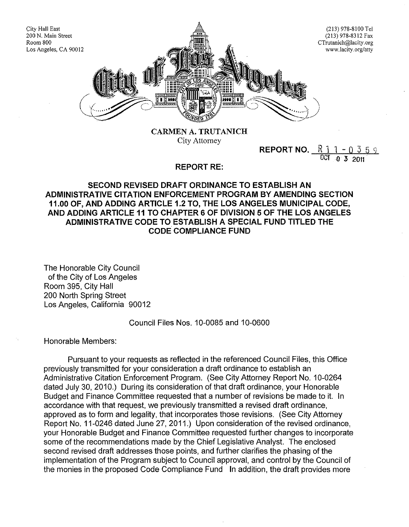

**CARMEN A. TRUTANICH** City Attorney

**REPORT NO.**  $R_1$  1 0  $\frac{1}{10}$ 0 3 2011

## **REPORT RE:**

## **SECOND REVISED DRAFT ORDINANCE TO ESTABLISH AN ADMINISTRATIVE CITATION ENFORCEMENT PROGRAM BY AMENDING SECTION 11.00 OF, AND ADDING ARTICLE 1.2 TO, THE LOS ANGELES MUNICIPAL CODE, AND ADDING ARTICLE 11 TO CHAPTER 6 OF DIVISION 5 OF THE LOS ANGELES ADMINISTRATIVE CODE TO ESTABLISH A SPECIAL FUND TITLED THE CODE COMPLIANCE FUND**

The Honorable City Council of the City of Los Angeles Room 395, City Hall 200 North Spring Street Los Angeles, California 90012

Council Files Nos. 10-0085 and 10-0600

Honorable Members:

Pursuant to your requests as reflected in the referenced Council Files, this Office previously transmitted for your consideration a draft ordinance to establish an Administrative Citation Enforcement Program. (See City Attorney Report No. 10-0264 dated July 30, 2010.) During its consideration of that draft ordinance, your Honorable Budget and Finance Committee requested that a number of revisions be made to it. In accordance with that request, we previously transmitted a revised draft ordinance, approved as to form and legality, that incorporates those revisions. (See City Attorney Report No. 11-0246 dated June 27, 2011.) Upon consideration of the revised ordinance, your Honorable Budget and Finance Committee requested further changes to incorporate some of the recommendations made by the Chief Legislative Analyst. The enclosed second revised draft addresses those points, and further clarifies the phasing of the implementation of the Program subject to Council approval, and control by the Council of the monies in the proposed Code Compliance Fund **In** addition, the draft provides more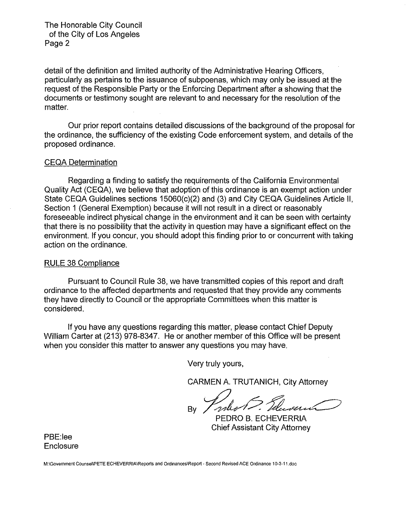## The Honorable City Council of the City of Los Angeles Page 2

detail of the definition and limited authority of the Administrative Hearing Officers, particularly as pertains to the issuance of subpoenas, which may only be issued at the request of the Responsible Party or the Enforcing Department after a showing that the documents or testimony sought are relevant to and necessary for the resolution of the matter.

Our prior report contains detailed discussions of the background of the proposal for the ordinance, the sufficiency of the existing Code enforcement system, and details of the proposed ordinance.

#### CEQA Determination

Regarding a finding to satisfy the requirements of the California Environmental Quality Act (CEQA), we believe that adoption of this ordinance is an exempt action under State CEQA Guidelines sections 15060(c)(2) and (3) and City CEQA Guidelines Article II, Section 1 (General Exemption) because it will not result in a direct or reasonably foreseeable indirect physical change in the environment and it can be seen with certainty that there is no possibility that the activity in question may have a significant effect on the environment. If you concur, you should adopt this finding prior to or concurrent with taking action on the ordinance.

#### RULE 38 Compliance

Pursuant to Council Rule 38, we have transmitted copies of this report and draft ordinance to the affected departments and requested that they provide any comments they have directly to Council or the appropriate Committees when this matter is considered.

If you have any questions regarding this matter, please contact Chief Deputy William Carter at (213) 978-8347. He or another member of this Office will be present when you consider this matter to answer any questions you may have.

Very truly yours,

CARMEN A. TRUTANICH, City Attorney

By Villameter PEDRO B. ECHEVERRIA

Chief Assistant City Attorney

PBE:Iee **Enclosure** 

**M:\Government Counsei\PETE ECHEVERRIA\Reports and Ordinances\Report ·Second Revised ACE Ordinance 10·3·11.doc**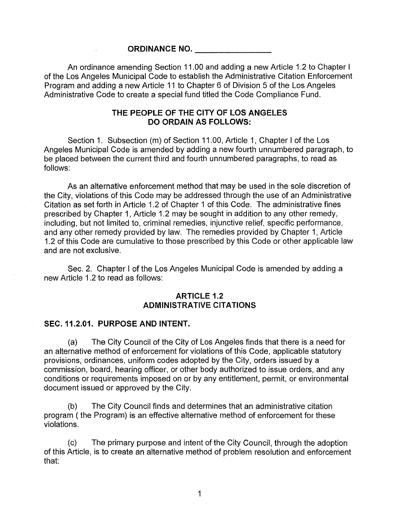#### **ORDINANCE NO.**

An ordinance amending Section 11.00 and adding a new Article 1.2 to Chapter I of the Los Angeles Municipal Code to establish the Administrative Citation Enforcement Program and adding a new Article 11 to Chapter 6 of Division 5 of the Los Angeles Administrative Code to create a special fund titled the Code Compliance Fund.

## **THE PEOPLE OF THE CITY OF LOS ANGELES DO ORDAIN AS FOLLOWS:**

Section 1. Subsection (m) of Section 11.00, Article 1, Chapter I of the Los Angeles Municipal Code is amended by adding a new fourth unnumbered paragraph, to be placed between the current third and fourth unnumbered paragraphs, to read as follows:

As an alternative enforcement method that may be used in the sole discretion of the City, violations of this Code may be addressed through the use of an Administrative Citation as set forth in Article 1.2 of Chapter 1 of this Code. The administrative fines prescribed by Chapter 1, Article 1.2 may be sought in addition to any other remedy, including, but not limited to, criminal remedies, injunctive relief, specific performance, and any other remedy provided by law. The remedies provided by Chapter 1, Article 1.2 of this Code are cumulative to those prescribed by this Code or other applicable law and are not exclusive.

Sec. 2. Chapter I of the Los Angeles Municipal Code is amended by adding a new Article 1.2 to read as follows:

### **ARTICLE 1.2 ADMINISTRATIVE CITATIONS**

#### **SEC.11.2.01. PURPOSE AND INTENT.**

(a) The City Council of the City of Los Angeles finds that there is a need for an alternative method of enforcement for violations of this Code, applicable statutory provisions, ordinances, uniform codes adopted by the City, orders issued by a commission, board, hearing officer, or other body authorized to issue orders, and any conditions or requirements imposed on or by any entitlement, permit, or environmental document issued or approved by the City.

(b) The City Council finds and determines that an administrative citation program (the Program) is an effective alternative method of enforcement for these violations.

(c) The primary purpose and intent of the City Council, through the adoption of this Article, is to create an alternative method of problem resolution and enforcement that:

1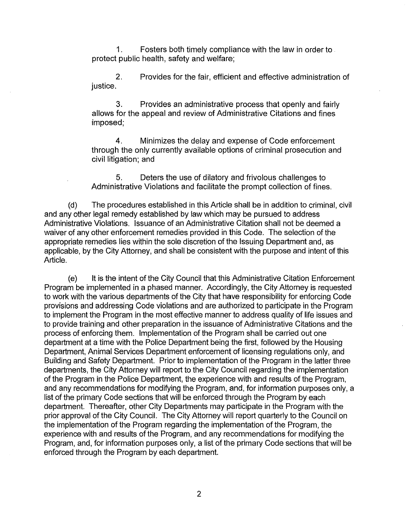1. Fosters both timely compliance with the law in order to protect public health, safety and welfare;

2. Provides for the fair, efficient and effective administration of justice.

3. Provides an administrative process that openly and fairly allows for the appeal and review of Administrative Citations and fines imposed;

4. Minimizes the delay and expense of Code enforcement through the only currently available options of criminal prosecution and civil litigation; and

5. Deters the use of dilatory and frivolous challenges to Administrative Violations and facilitate the prompt collection of fines.

(d) The procedures established in this Article shall be in addition to criminal, civil and any other legal remedy established by law which may be pursued to address Administrative Violations. Issuance of an Administrative Citation shall not be deemed a waiver of any other enforcement remedies provided in this Code. The selection of the appropriate remedies lies within the sole discretion of the Issuing Department and, as applicable, by the City Attorney, and shall be consistent with the purpose and intent of this Article.

(e) It is the intent of the City Council that this Administrative Citation Enforcement Program be implemented in a phased manner. Accordingly, the City Attorney is requested to work with the various departments of the City that have responsibility for enforcing Code provisions and addressing Code violations and are authorized to participate in the Program to implement the Program in the most effective manner to address quality of life issues and to provide training and other preparation in the issuance of Administrative Citations and the process of enforcing them. Implementation of the Program shall be carried out one department at a time with the Police Department being the first, followed by the Housing Department, Animal Services Department enforcement of licensing regulations only, and Building and Safety Department. Prior to implementation of the Program in the latter three departments, the City Attorney will report to the City Council regarding the implementation of the Program in the Police Department, the experience with and results of the Program, and any recommendations for modifying the Program, and, for information purposes only, a list of the primary Code sections that will be enforced through the Program by each department. Thereafter, other City Departments may participate in the Program with the prior approval of the City Council. The City Attorney will report quarterly to the Council on the implementation of the Program regarding the implementation of the Program, the experience with and results of the Program, and any recommendations for modifying the Program, and, for information purposes only, a list of the primary Code sections that will be enforced through the Program by each department.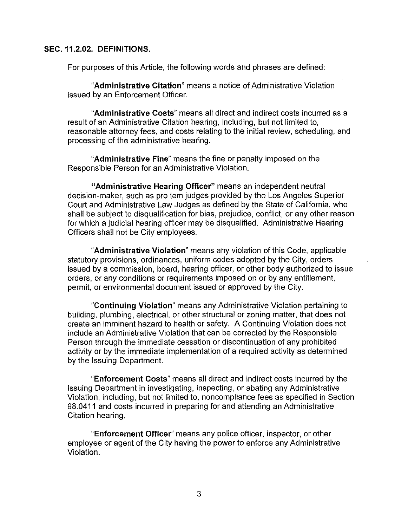## **SEC. 11.2.02. DEFINITIONS.**

For purposes of this Article, the following words and phrases are defined:

**"Administrative Citation"** means a notice of Administrative Violation issued by an Enforcement Officer.

**"Administrative Costs"** means all direct and indirect costs incurred as a result of an Administrative Citation hearing, including, but not limited to, reasonable attorney fees, and costs relating to the initial review, scheduling, and processing of the administrative hearing.

**"Administrative Fine"** means the fine or penalty imposed on the Responsible Person for an Administrative Violation.

**"Administrative Hearing Officer"** means an independent neutral decision-maker, such as pro tern judges provided by the Los Angeles Superior Court and Administrative Law Judges as defined by the State of California, who shall be subject to disqualification for bias, prejudice, conflict, or any other reason for which a judicial hearing officer may be disqualified. Administrative Hearing Officers shall not be City employees.

**"Administrative Violation"** means any violation of this Code, applicable statutory provisions, ordinances, uniform codes adopted by the City, orders issued by a commission, board, hearing officer, or other body authorized to issue orders, or any conditions or requirements imposed on or by any entitlement, permit, or environmental document issued or approved by the City.

**"Continuing Violation"** means any Administrative Violation pertaining to building, plumbing, electrical, or other structural or zoning matter, that does not create an imminent hazard to health or safety. A Continuing Violation does not include an Administrative Violation that can be corrected by the Responsible Person through the immediate cessation or discontinuation of any prohibited activity or by the immediate implementation of a required activity as determined by the Issuing Department.

**"Enforcement Costs"** means all direct and indirect costs incurred by the Issuing Department in investigating, inspecting, or abating any Administrative Violation, including, but not limited to, noncompliance fees as specified in Section 98.0411 and costs incurred in preparing for and attending an Administrative Citation hearing.

**"Enforcement Officer"** means any police officer, inspector, or other employee or agent of the City having the power to enforce any Administrative Violation.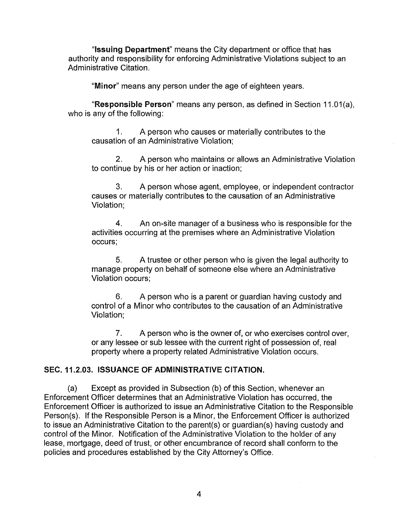**"Issuing Department"** means the City department or office that has authority and responsibility for enforcing Administrative Violations subject to an Administrative Citation.

**"Minor"** means any person under the age of eighteen years.

**"Responsible Person"** means any person, as defined in Section 11.01 (a), who is any of the following:

1. A person who causes or materially contributes to the causation of an Administrative Violation;

2. A person who maintains or allows an Administrative Violation to continue by his or her action or inaction;

3. A person whose agent, employee, or independent contractor causes or materially contributes to the causation of an Administrative Violation;

4. An on-site manager of a business who is responsible for the activities occurring at the premises where an Administrative Violation occurs;

5. A trustee or other person who is given the legal authority to manage property on behalf of someone else where an Administrative Violation occurs;

6. A person who is a parent or guardian having custody and control of a Minor who contributes to the causation of an Administrative Violation;

7. A person who is the owner of, or who exercises control over, or any lessee or sub lessee with the current right of possession of, real property where a property related Administrative Violation occurs.

## **SEC.11.2.03. ISSUANCE OF ADMINISTRATIVE CITATION.**

(a) Except as provided in Subsection (b) of this Section, whenever an Enforcement Officer determines that an Administrative Violation has occurred, the Enforcement Officer is authorized to issue an Administrative Citation to the Responsible Person(s). If the Responsible Person is a Minor, the Enforcement Officer is authorized to issue an Administrative Citation to the parent(s) or guardian(s) having custody and control of the Minor. Notification of the Administrative Violation to the holder of any lease, mortgage, deed of trust, or other encumbrance of record shall conform to the policies and procedures established by the City Attorney's Office.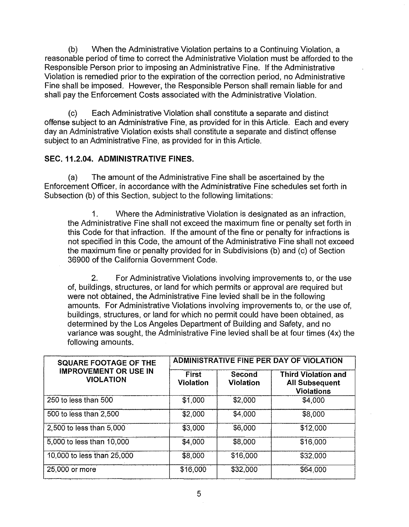(b) When the Administrative Violation pertains to a Continuing Violation, a reasonable period of time to correct the Administrative Violation must be afforded to the Responsible Person prior to imposing an Administrative Fine. If the Administrative Violation is remedied prior to the expiration of the correction period, no Administrative Fine shall be imposed. However, the Responsible Person shall remain liable for and shall pay the Enforcement Costs associated with the Administrative Violation.

(c) Each Administrative Violation shall constitute a separate and distinct offense subject to an Administrative Fine, as provided for in this Article. Each and every day an Administrative Violation exists shall constitute a separate and distinct offense subject to an Administrative Fine, as provided for in this Article.

# **SEC. 11.2.04. ADMINISTRATIVE FINES.**

(a) The amount of the Administrative Fine shall be ascertained by the Enforcement Officer, in accordance with the Administrative Fine schedules set forth in Subsection (b) of this Section, subject to the following limitations:

1. Where the Administrative Violation is designated as an infraction, the Administrative Fine shall not exceed the maximum fine or penalty set forth in this Code for that infraction. If the amount of the fine or penalty for infractions is not specified in this Code, the amount of the Administrative Fine shall not exceed the maximum fine or penalty provided for in Subdivisions (b) and (c) of Section 36900 of the California Government Code.

2. For Administrative Violations involving improvements to, or the use of, buildings, structures, or land for which permits or approval are required but were not obtained, the Administrative Fine levied shall be in the following amounts. For Administrative Violations involving improvements to, or the use of, buildings, structures, or land for which no permit could have been obtained, as determined by the Los Angeles Department of Building and Safety, and no variance was sought, the Administrative Fine levied shall be at four times (4x) the following amounts.

| <b>SQUARE FOOTAGE OF THE</b><br><b>IMPROVEMENT OR USE IN</b><br><b>VIOLATION</b> | <b>ADMINISTRATIVE FINE PER DAY OF VIOLATION</b> |                            |                                                                          |
|----------------------------------------------------------------------------------|-------------------------------------------------|----------------------------|--------------------------------------------------------------------------|
|                                                                                  | <b>First</b><br><b>Violation</b>                | Second<br><b>Violation</b> | <b>Third Violation and</b><br><b>All Subsequent</b><br><b>Violations</b> |
| 250 to less than 500                                                             | \$1,000                                         | \$2,000                    | \$4,000                                                                  |
| 500 to less than 2,500                                                           | \$2,000                                         | \$4,000                    | \$8,000                                                                  |
| 2,500 to less than 5,000                                                         | \$3,000                                         | \$6,000                    | \$12,000                                                                 |
| 5,000 to less than 10,000                                                        | \$4,000                                         | \$8,000                    | \$16,000                                                                 |
| 10,000 to less than 25,000                                                       | \$8,000                                         | \$16,000                   | \$32,000                                                                 |
| 25,000 or more                                                                   | \$16,000                                        | \$32,000                   | \$64,000                                                                 |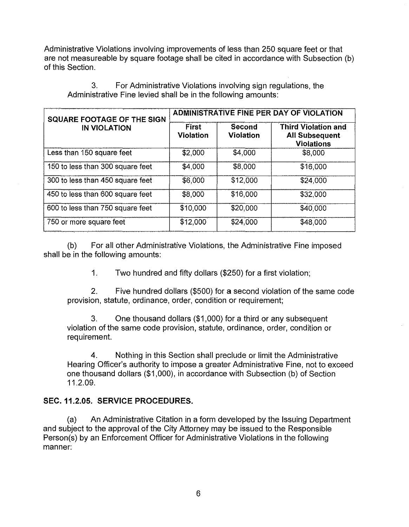Administrative Violations involving improvements of less than 250 square feet or that are not measureable by square footage shall be cited in accordance with Subsection (b) of this Section.

| SQUARE FOOTAGE OF THE SIGN<br><b>IN VIOLATION</b> | <b>ADMINISTRATIVE FINE PER DAY OF VIOLATION</b> |                            |                                                                          |
|---------------------------------------------------|-------------------------------------------------|----------------------------|--------------------------------------------------------------------------|
|                                                   | First<br><b>Violation</b>                       | Second<br><b>Violation</b> | <b>Third Violation and</b><br><b>All Subsequent</b><br><b>Violations</b> |
| Less than 150 square feet                         | \$2,000                                         | \$4,000                    | \$8,000                                                                  |
| 150 to less than 300 square feet                  | \$4,000                                         | \$8,000                    | \$16,000                                                                 |
| 300 to less than 450 square feet                  | \$6,000                                         | \$12,000                   | \$24,000                                                                 |
| 450 to less than 600 square feet                  | \$8,000                                         | \$16,000                   | \$32,000                                                                 |
| 600 to less than 750 square feet                  | \$10,000                                        | \$20,000                   | \$40,000                                                                 |
| 750 or more square feet                           | \$12,000                                        | \$24,000                   | \$48,000                                                                 |

3. For Administrative Violations involving sign regulations, the Administrative Fine levied shall be in the following amounts:

(b) For all other Administrative Violations, the Administrative Fine imposed shall be in the following amounts:

1. Two hundred and fifty dollars (\$250) for a first violation;

2. Five hundred dollars (\$500) for a second violation of the same code provision, statute, ordinance, order, condition or requirement;

3. One thousand dollars (\$1 ,000) for a third or any subsequent violation of the same code provision, statute, ordinance, order, condition or requirement.

4. Nothing in this Section shall preclude or limit the Administrative Hearing Officer's authority to impose a greater Administrative Fine, not to exceed one thousand dollars (\$1 ,000), in accordance with Subsection (b) of Section 11.2.09.

# **SEC. 11.2.05. SERVICE PROCEDURES.**

(a) An Administrative Citation in a form developed by the Issuing Department and subject to the approval of the City Attorney may be issued to the Responsible Person(s) by an Enforcement Officer for Administrative Violations in the following manner: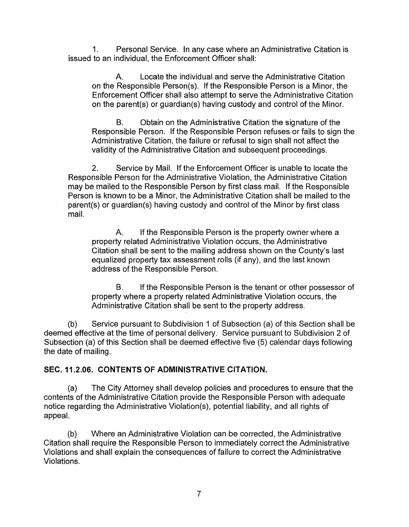1. Personal Service. In any case where an Administrative Citation is issued to an individual, the Enforcement Officer shall:

A. Locate the individual and serve the Administrative Citation on the Responsible Person(s). If the Responsible Person is a Minor, the Enforcement Officer shall also attempt to serve the Administrative Citation on the parent(s) or guardian(s) having custody and control of the Minor.

B. Obtain on the Administrative Citation the signature of the Responsible Person. If the Responsible Person refuses or fails to sign the Administrative Citation, the failure or refusal to sign shall not affect the validity of the Administrative Citation and subsequent proceedings.

2. Service by Mail. If the Enforcement Officer is unable to locate the Responsible Person for the Administrative Violation, the Administrative Citation may be mailed to the Responsible Person by first class mail. If the Responsible Person is known to be a Minor, the Administrative Citation shall be mailed to the parent(s) or guardian(s) having custody and control of the Minor by first class mail.

A. If the Responsible Person is the property owner where a property related Administrative Violation occurs, the Administrative Citation shall be sent to the mailing address shown on the County's last equalized property tax assessment rolls (if any), and the last known address of the Responsible Person.

B. If the Responsible Person is the tenant or other possessor of property where a property related Administrative Violation occurs, the Administrative Citation shall be sent to the property address.

(b) Service pursuant to Subdivision 1 of Subsection (a) of this Section shall be deemed effective at the time of personal delivery. Service pursuant to Subdivision 2 of Subsection (a) of this Section shall be deemed effective five (5) calendar days following the date of mailing.

## **SEC.11.2.06. CONTENTS OF ADMINISTRATIVE CITATION.**

(a) The City Attorney shall develop policies and procedures to ensure that the contents of the Administrative Citation provide the Responsible Person with adequate notice regarding the Administrative Violation(s), potential liability, and all rights of appeal.

(b) Where an Administrative Violation can be corrected, the Administrative Citation shall require the Responsible Person to immediately correct the Administrative Violations and shall explain the consequences of failure to correct the Administrative Violations.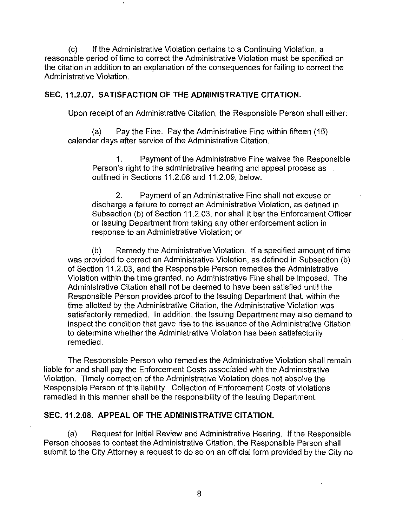(c) If the Administrative Violation pertains to a Continuing Violation, a reasonable period of time to correct the Administrative Violation must be specified on the citation in addition to an explanation of the consequences for failing to correct the Administrative Violation.

## **SEC.11.2.07. SATISFACTION OF THE ADMINISTRATIVE CITATION.**

Upon receipt of an Administrative Citation, the Responsible Person shall either:

(a) Pay the Fine. Pay the Administrative Fine within fifteen (15) calendar days after service of the Administrative Citation.

1. Payment of the Administrative Fine waives the Responsible Person's right to the administrative hearing and appeal process as outlined in Sections 11.2.08 and 11.2.09, below.

2. Payment of an Administrative Fine shall not excuse or discharge a failure to correct an Administrative Violation, as defined in Subsection (b) of Section 11.2.03, nor shall it bar the Enforcement Officer or Issuing Department from taking any other enforcement action in response to an Administrative Violation; or

(b) Remedy the Administrative Violation. If a specified amount of time was provided to correct an Administrative Violation, as defined in Subsection (b) of Section 11.2.03, and the Responsible Person remedies the Administrative Violation within the time granted, no Administrative Fine shall be imposed. The Administrative Citation shall not be deemed to have been satisfied until the Responsible Person provides proof to the Issuing Department that, within the time allotted by the Administrative Citation, the Administrative Violation was satisfactorily remedied. In addition, the Issuing Department may also demand to inspect the condition that gave rise to the issuance of the Administrative Citation to determine whether the Administrative Violation has been satisfactorily remedied.

The Responsible Person who remedies the Administrative Violation shall remain liable for and shall pay the Enforcement Costs associated with the Administrative Violation. Timely correction of the Administrative Violation does not absolve the Responsible Person of this liability. Collection of Enforcement Costs of violations remedied in this manner shall be the responsibility of the Issuing Department.

## **SEC. 11.2.08. APPEAL OF THE ADMINISTRATIVE CITATION.**

(a) Request for Initial Review and Administrative Hearing. If the Responsible Person chooses to contest the Administrative Citation, the Responsible Person shall submit to the City Attorney a request to do so on an official form provided by the City no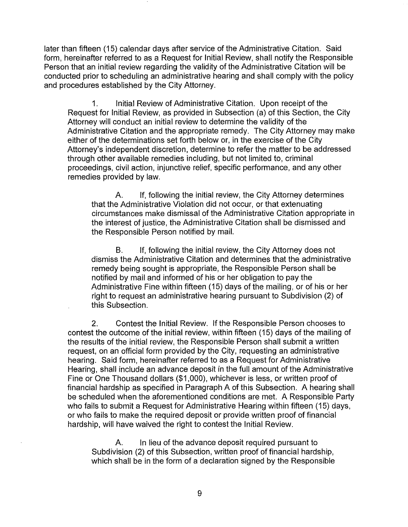later than fifteen (15) calendar days after service of the Administrative Citation. Said form, hereinafter referred to as a Request for Initial Review, shall notify the Responsible Person that an initial review regarding the validity of the Administrative Citation will be conducted prior to scheduling an administrative hearing and shall comply with the policy and procedures established by the City Attorney.

1. Initial Review of Administrative Citation. Upon receipt of the Request for Initial Review, as provided in Subsection (a) of this Section, the City Attorney will conduct an initial review to determine the validity of the Administrative Citation and the appropriate remedy. The City Attorney may make either of the determinations set forth below or, in the exercise of the City Attorney's independent discretion, determine to refer the matter to be addressed through other available remedies including, but not limited to, criminal proceedings, civil action, injunctive relief, specific performance, and any other remedies provided by law.

A. If, following the initial review, the City Attorney determines that the Administrative Violation did not occur, or that extenuating circumstances make dismissal of the Administrative Citation appropriate in the interest of justice, the Administrative Citation shall be dismissed and the Responsible Person notified by mail.

B. If, following the initial review, the City Attorney does not dismiss the Administrative Citation and determines that the administrative remedy being sought is appropriate, the Responsible Person shall be notified by mail and informed of his or her obligation to pay the Administrative Fine within fifteen (15) days of the mailing, or of his or her right to request an administrative hearing pursuant to Subdivision (2) of this Subsection.

2. Contest the Initial Review. If the Responsible Person chooses to contest the outcome of the initial review, within fifteen (15) days of the mailing of the results of the initial review, the Responsible Person shall submit a written request, on an official form provided by the City, requesting an administrative hearing. Said form, hereinafter referred to as a Request for Administrative Hearing, shall include an advance deposit in the full amount of the Administrative Fine or One Thousand dollars (\$1 ,000), whichever is less, or written proof of financial hardship as specified in Paragraph A of this Subsection. A hearing shall be scheduled when the aforementioned conditions are met. A Responsible Party who fails to submit a Request for Administrative Hearing within fifteen (15) days, or who fails to make the required deposit or provide written proof of financial hardship, will have waived the right to contest the Initial Review.

A. In lieu of the advance deposit required pursuant to Subdivision (2) of this Subsection, written proof of financial hardship, which shall be in the form of a declaration signed by the Responsible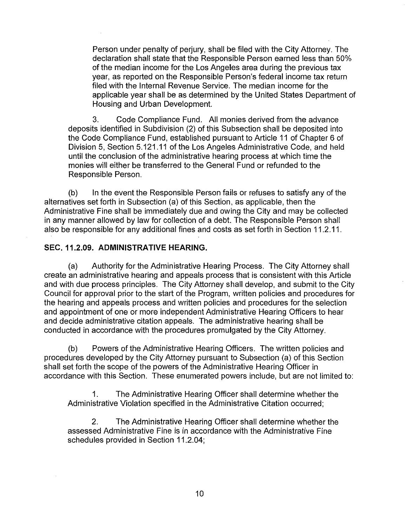Person under penalty of perjury, shall be filed with the City Attorney. The declaration shall state that the Responsible Person earned less than 50% of the median income for the Los Angeles area during the previous tax year, as reported on the Responsible Person's federal income tax return filed with the Internal Revenue Service. The median income for the applicable year shall be as determined by the United States Department of Housing and Urban Development.

3. Code Compliance Fund. All monies derived from the advance deposits identified in Subdivision (2) of this Subsection shall be deposited into the Code Compliance Fund, established pursuant to Article 11 of Chapter 6 of Division 5, Section 5.121.11 of the Los Angeles Administrative Code, and held until the conclusion of the administrative hearing process at which time the monies will either be transferred to the General Fund or refunded to the Responsible Person.

(b) In the event the Responsible Person fails or refuses to satisfy any of the alternatives set forth in Subsection (a) of this Section, as applicable, then the Administrative Fine shall be immediately due and owing the City and may be collected in any manner allowed by law for collection of a debt. The Responsible Person shall also be responsible for any additional fines and costs as set forth in Section 11 .2. 11.

## **SEC. 11.2.09. ADMINISTRATIVE HEARING.**

(a) Authority for the Administrative Hearing Process. The City Attorney shall create an administrative hearing and appeals process that is consistent with this Article and with due process principles. The City Attorney shall develop, and submit to the City Council for approval prior to the start of the Program, written policies and procedures for the hearing and appeals process and written policies and procedures for the selection and appointment of one or more independent Administrative Hearing Officers to hear and decide administrative citation appeals. The administrative hearing shall be conducted in accordance with the procedures promulgated by the City Attorney.

(b) Powers of the Administrative Hearing Officers. The written policies and procedures developed by the City Attorney pursuant to Subsection (a) of this Section shall set forth the scope of the powers of the Administrative Hearing Officer in accordance with this Section. These enumerated powers include, but are not limited to:

1. The Administrative Hearing Officer shall determine whether the Administrative Violation specified in the Administrative Citation occurred;

2. The Administrative Hearing Officer shall determine whether the assessed Administrative Fine is in accordance with the Administrative Fine schedules provided in Section 11.2.04;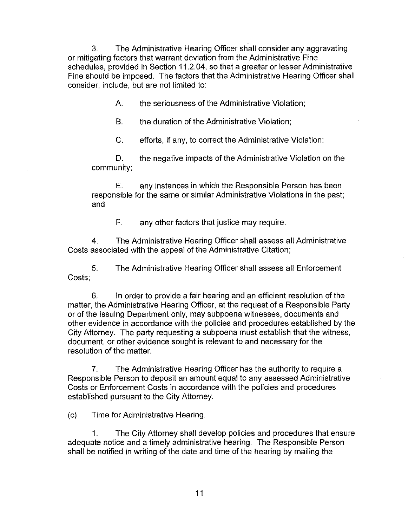3. The Administrative Hearing Officer shall consider any aggravating or mitigating factors that warrant deviation from the Administrative Fine schedules, provided in Section 11.2.04, so that a greater or lesser Administrative Fine should be imposed. The factors that the Administrative Hearing Officer shall consider, include, but are not limited to:

A. the seriousness of the Administrative Violation;

B. the duration of the Administrative Violation;

C. efforts, if any, to correct the Administrative Violation;

D. the negative impacts of the Administrative Violation on the community;

E. any instances in which the Responsible Person has been responsible for the same or similar Administrative Violations in the past; and

F. any other factors that justice may require.

4. The Administrative Hearing Officer shall assess all Administrative Costs associated with the appeal of the Administrative Citation;

5. The Administrative Hearing Officer shall assess all Enforcement Costs;

6. In order to provide a fair hearing and an efficient resolution of the matter, the Administrative Hearing Officer, at the request of a Responsible Party or of the Issuing Department only, may subpoena witnesses, documents and other evidence in accordance with the policies and procedures established by the City Attorney. The party requesting a subpoena must establish that the witness, document, or other evidence sought is relevant to and necessary for the resolution of the matter.

7. The Administrative Hearing Officer has the authority to require a Responsible Person to deposit an amount equal to any assessed Administrative Costs or Enforcement Costs in accordance with the policies and procedures established pursuant to the City Attorney.

(c) Time for Administrative Hearing.

1. The City Attorney shall develop policies and procedures that ensure adequate notice and a timely administrative hearing. The Responsible Person shall be notified in writing of the date and time of the hearing by mailing the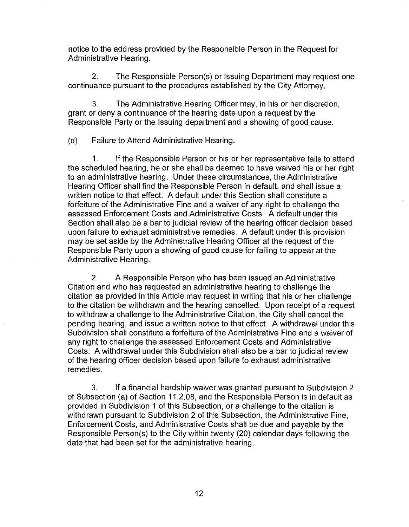notice to the address provided by the Responsible Person in the Request for Administrative Hearing.

2. The Responsible Person(s) or Issuing Department may request one continuance pursuant to the procedures established by the City Attorney.

3. The Administrative Hearing Officer may, in his or her discretion, grant or deny a continuance of the hearing date upon a request by the Responsible Party or the Issuing department and a showing of good cause.

(d) Failure to Attend Administrative Hearing.

1. If the Responsible Person or his or her representative fails to attend the scheduled hearing, he or she shall be deemed to have waived his or her right to an administrative hearing. Under these circumstances, the Administrative Hearing Officer shall find the Responsible Person in default, and shall issue a written notice to that effect. A default under this Section shall constitute a forfeiture of the Administrative Fine and a waiver of any right to challenge the assessed Enforcement Costs and Administrative Costs. A default under this Section shall also be a bar to judicial review of the hearing officer decision based upon failure to exhaust administrative remedies. A default under this provision may be set aside by the Administrative Hearing Officer at the request of the Responsible Party upon a showing of good cause for failing to appear at the Administrative Hearing.

2. A Responsible Person who has been issued an Administrative Citation and who has requested an administrative hearing to challenge the citation as provided in this Article may request in writing that his or her challenge to the citation be withdrawn and the hearing cancelled. Upon receipt of a request to withdraw a challenge to the Administrative Citation, the City shall cancel the pending hearing, and issue a written notice to that effect. A withdrawal under this Subdivision shall constitute a forfeiture of the Administrative Fine and a waiver of any right to challenge the assessed Enforcement Costs and Administrative Costs. A withdrawal under this Subdivision shall also be a bar to judicial review of the hearing officer decision based upon failure to exhaust administrative remedies.

3. If a financial hardship waiver was granted pursuant to Subdivision 2 of Subsection {a) of Section 11.2.08, and the Responsible Person is in default as provided in Subdivision 1 of this Subsection, or a challenge to the citation is withdrawn pursuant to Subdivision 2 of this Subsection, the Administrative Fine, Enforcement Costs, and Administrative Costs shall be due and payable by the Responsible Person(s) to the City within twenty (20) calendar days following the date that had been set for the administrative hearing.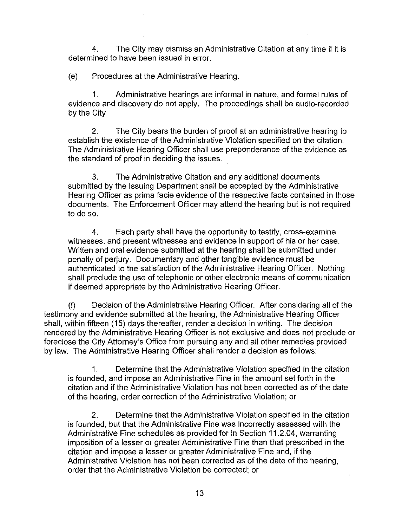4. The City may dismiss an Administrative Citation at any time if it is determined to have been issued in error.

(e) Procedures at the Administrative Hearing.

1. Administrative hearings are informal in nature, and formal rules of evidence and discovery do not apply. The proceedings shall be audio-recorded by the City.

2. The City bears the burden of proof at an administrative hearing to establish the existence of the Administrative Violation specified on the citation. The Administrative Hearing Officer shall use preponderance of the evidence as the standard of proof in deciding the issues.

3. The Administrative Citation and any additional documents submitted by the Issuing Department shall be accepted by the Administrative Hearing Officer as prima facie evidence of the respective facts contained in those documents. The Enforcement Officer may attend the hearing but is not required to do so.

4. Each party shall have the opportunity to testify, cross-examine witnesses, and present witnesses and evidence in support of his or her case. Written and oral evidence submitted at the hearing shall be submitted under penalty of perjury. Documentary and other tangible evidence must be authenticated to the satisfaction of the Administrative Hearing Officer. Nothing shall preclude the use of telephonic or other electronic means of communication if deemed appropriate by the Administrative Hearing Officer.

(f) Decision of the Administrative Hearing Officer. After considering all of the testimony and evidence submitted at the hearing, the Administrative Hearing Officer shall, within fifteen (15) days thereafter, render a decision in writing. The decision rendered by the Administrative Hearing Officer is not exclusive and does not preclude or foreclose the City Attorney's Office from pursuing any and all other remedies provided by law. The Administrative Hearing Officer shall render a decision as follows:

1. Determine that the Administrative Violation specified in the citation is founded, and impose an Administrative Fine in the amount set forth in the citation and if the Administrative Violation has not been corrected as of the date of the hearing, order correction of the Administrative Violation; or

2. Determine that the Administrative Violation specified in the citation is founded, but that the Administrative Fine was incorrectly assessed with the Administrative Fine schedules as provided for in Section 11.2.04, warranting imposition of a lesser or greater Administrative Fine than that prescribed in the citation and impose a lesser or greater Administrative Fine and, if the Administrative Violation has not been corrected as of the date of the hearing, order that the Administrative Violation be corrected; or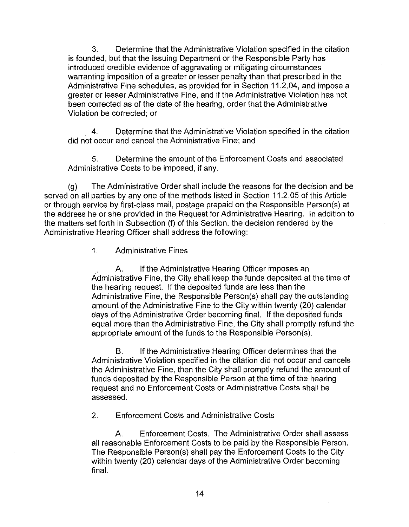3. Determine that the Administrative Violation specified in the citation is founded, but that the Issuing Department or the Responsible Party has introduced credible evidence of aggravating or mitigating circumstances warranting imposition of a greater or lesser penalty than that prescribed in the Administrative Fine schedules, as provided for in Section 11.2.04, and impose a greater or lesser Administrative Fine, and if the Administrative Violation has not been corrected as of the date of the hearing, order that the Administrative Violation be corrected; or

4. Determine that the Administrative Violation specified in the citation did not occur and cancel the Administrative Fine; and

5. Determine the amount of the Enforcement Costs and associated Administrative Costs to be imposed, if any.

(g) The Administrative Order shall include the reasons for the decision and be served on all parties by any one of the methods listed in Section 11.2.05 of this Article or through service by first-class mail, postage prepaid on the Responsible Person(s) at the address he or she provided in the Request for Administrative Hearing. In addition to the matters set forth in Subsection (f) of this Section, the decision rendered by the Administrative Hearing Officer shall address the following:

1. Administrative Fines

A. If the Administrative Hearing Officer imposes an Administrative Fine, the City shall keep the funds deposited at the time of the hearing request. If the deposited funds are less than the Administrative Fine, the Responsible Person(s) shall pay the outstanding amount of the Administrative Fine to the City within twenty (20) calendar days of the Administrative Order becoming final. If the deposited funds equal more than the Administrative Fine, the City shall promptly refund the appropriate amount of the funds to the Responsible Person(s).

B. If the Administrative Hearing Officer determines that the Administrative Violation specified in the citation did not occur and cancels the Administrative Fine, then the City shall promptly refund the amount of funds deposited by the Responsible Person at the time of the hearing request and no Enforcement Costs or Administrative Costs shall be assessed.

2. Enforcement Costs and Administrative Costs

A. Enforcement Costs. The Administrative Order shall assess all reasonable Enforcement Costs to be paid by the Responsible Person. The Responsible Person(s) shall pay the Enforcement Costs to the City within twenty (20) calendar days of the Administrative Order becoming final.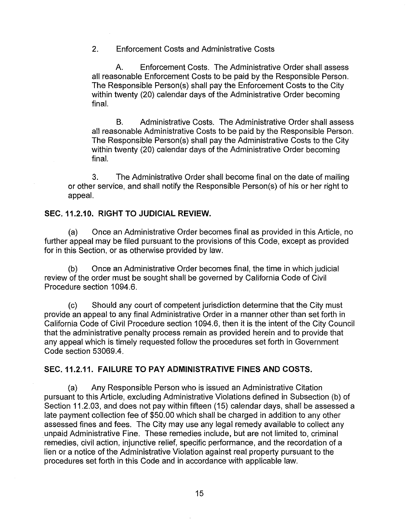2. Enforcement Costs and Administrative Costs

A. Enforcement Costs. The Administrative Order shall assess all reasonable Enforcement Costs to be paid by the Responsible Person. The Responsible Person(s) shall pay the Enforcement Costs to the City within twenty (20) calendar days of the Administrative Order becoming final.

B. Administrative Costs. The Administrative Order shall assess all reasonable Administrative Costs to be paid by the Responsible Person. The Responsible Person(s) shall pay the Administrative Costs to the City within twenty (20) calendar days of the Administrative Order becoming final.

3. The Administrative Order shall become final on the date of mailing or other service, and shall notify the Responsible Person(s) of his or her right to appeal.

## **SEC. 11.2.10. RIGHT TO JUDICIAL REVIEW.**

(a) Once an Administrative Order becomes final as provided in this Article, no further appeal may be filed pursuant to the provisions of this Code, except as provided for in this Section, or as otherwise provided by law.

(b) Once an Administrative Order becomes final, the time in which judicial review of the order must be sought shall be governed by California Code of Civil Procedure section 1094.6.

(c) Should any court of competent jurisdiction determine that the City must provide an appeal to any final Administrative Order in a manner other than set forth in California Code of Civil Procedure section 1094.6, then it is the intent of the City Council that the administrative penalty process remain as provided herein and to provide that any appeal which is timely requested follow the procedures set forth in Government Code section 53069.4.

## **SEC. 11.2.11. FAILURE TO PAY ADMINISTRATIVE FINES AND COSTS.**

(a) Any Responsible Person who is issued an Administrative Citation pursuant to this Article, excluding Administrative Violations defined in Subsection (b) of Section 11.2.03, and does not pay within fifteen (15) calendar days, shall be assessed a late payment collection fee of \$50.00 which shall be charged in addition to any other assessed fines and fees. The City may use any legal remedy available to collect any unpaid Administrative Fine. These remedies include, but are not limited to, criminal remedies, civil action, injunctive relief, specific performance, and the recordation of a lien or a notice of the Administrative Violation against real property pursuant to the procedures set forth in this Code and in accordance with applicable law.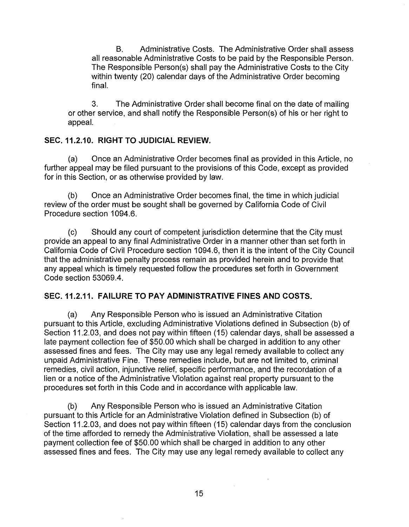B. Administrative Costs. The Administrative Order shall assess all reasonable Administrative Costs to be paid by the Responsible Person. The Responsible Person(s) shall pay the Administrative Costs to the City within twenty (20) calendar days of the Administrative Order becoming final.

3. The Administrative Order shall become final on the date of mailing or other service, and shall notify the Responsible Person(s) of his or her right to appeal.

# **SEC. 11.2.10. RIGHT TO JUDICIAL REVIEW.**

(a) Once an Administrative Order becomes final as provided in this Article, no further appeal may be filed pursuant to the provisions of this Code, except as provided for in this Section, or as otherwise provided by law.

(b) Once an Administrative Order becomes final, the time in which judicial review of the order must be sought shall be governed by California Code of Civil Procedure section 1094.6.

(c) Should any court of competent jurisdiction determine that the City must provide an appeal to any final Administrative Order in a manner other than set forth in California Code of Civil Procedure section 1094.6, then it is the intent of the City Council that the administrative penalty process remain as provided herein and to provide that any appeal which is timely requested follow the procedures set forth in Government Code section 53069.4.

## **SEC. 11.2.11. FAILURE TO PAY ADMINISTRATIVE FINES AND COSTS.**

(a) Any Responsible Person who is issued an Administrative Citation pursuant to this Article, excluding Administrative Violations defined in Subsection (b) of Section 11.2.03, and does not pay within fifteen (15) calendar days, shall be assessed a late payment collection fee of \$50.00 which shall be charged in addition to any other assessed fines and fees. The City may use any legal remedy available to collect any unpaid Administrative Fine. These remedies include, but are not limited to, criminal remedies, civil action, injunctive relief, specific performance, and the recordation of a lien or a notice of the Administrative Violation against real property pursuant to the procedures set forth in this Code and in accordance with applicable law.

(b) Any Responsible Person who is issued an Administrative Citation pursuant to this Article for an Administrative Violation defined in Subsection (b) of Section 11.2.03, and does not pay within fifteen (15) calendar days from the conclusion of the time afforded to remedy the Administrative Violation, shall be assessed a late payment collection fee of \$50.00 which shall be charged in addition to any other assessed fines and fees. The City may use any legal remedy available to collect any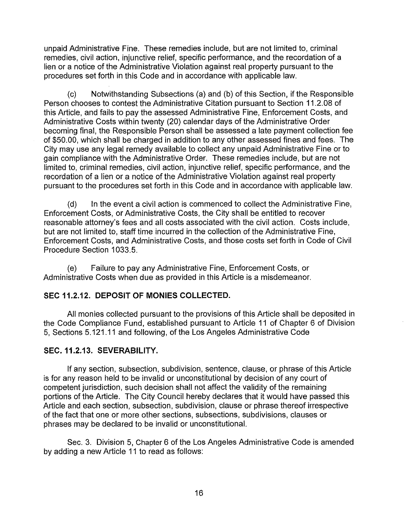unpaid Administrative Fine. These remedies include, but are not limited to, criminal remedies, civil action, injunctive relief, specific performance, and the recordation of a lien or a notice of the Administrative Violation against real property pursuant to the procedures set forth in this Code and in accordance with applicable law.

(c) Notwithstanding Subsections (a) and (b) of this Section, if the Responsible Person chooses to contest the Administrative Citation pursuant to Section 11.2.08 of this Article, and fails to pay the assessed Administrative Fine, Enforcement Costs, and Administrative Costs within twenty (20) calendar days of the Administrative Order becoming final, the Responsible Person shall be assessed a late payment collection fee of \$50.00, which shall be charged in addition to any other assessed fines and fees. The City may use any legal remedy available to collect any unpaid Administrative Fine or to gain compliance with the Administrative Order. These remedies include, but are not limited to, criminal remedies, civil action, injunctive relief, specific performance, and the recordation of a lien or a notice of the Administrative Violation against real property pursuant to the procedures set forth in this Code and in accordance with applicable law.

(d) In the event a civil action is commenced to collect the Administrative Fine, Enforcement Costs, or Administrative Costs, the City shall be entitled to recover reasonable attorney's fees and all costs associated with the civil action. Costs include, but are not limited to, staff time incurred in the collection of the Administrative Fine, Enforcement Costs, and Administrative Costs, and those costs set forth in Code of Civil Procedure Section 1033.5.

(e) Failure to pay any Administrative Fine, Enforcement Costs, or Administrative Costs when due as provided in this Article is a misdemeanor.

# **SEC 11.2.12. DEPOSIT OF MONIES COLLECTED.**

All monies collected pursuant to the provisions of this Article shall be deposited in the Code Compliance Fund, established pursuant to Article 11 of Chapter 6 of Division 5, Sections 5.121.11 and following, of the Los Angeles Administrative Code

# **SEC. 11.2.13. SEVERABILITY.**

If any section, subsection, subdivision, sentence, clause, or phrase of this Article is for any reason held to be invalid or unconstitutional by decision of any court of competent jurisdiction, such decision shall not affect the validity of the remaining portions of the Article. The City Council hereby declares that it would have passed this Article and each section, subsection, subdivision, clause or phrase thereof irrespective of the fact that one or more other sections, subsections, subdivisions, clauses or phrases may be declared to be invalid or unconstitutional.

Sec. 3. Division 5, Chapter 6 of the Los Angeles Administrative Code is amended by adding a new Article 11 to read as follows: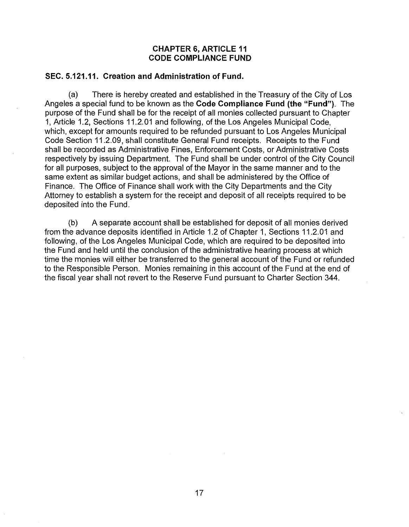### **CHAPTER 6, ARTICLE 11 CODE COMPLIANCE FUND**

## **SEC. 5.121.11. Creation and Administration of Fund.**

(a) There is hereby created and established in the Treasury of the City of Los Angeles a special fund to be known as the **Code Compliance Fund (the "Fund").** The purpose of the Fund shall be for the receipt of all monies collected pursuant to Chapter 1, Article 1.2, Sections 11.2.01 and following, of the Los Angeles Municipal Code, which, except for amounts required to be refunded pursuant to Los Angeles Municipal Code Section 11.2.09, shall constitute General Fund receipts. Receipts to the Fund shall be recorded as Administrative Fines, Enforcement Costs, or Administrative Costs respectively by issuing Department. The Fund shall be under control of the City Council for all purposes, subject to the approval of the Mayor in the same manner and to the same extent as similar budget actions, and shall be administered by the Office of Finance. The Office of Finance shall work with the City Departments and the City Attorney to establish a system for the receipt and deposit of all receipts required to be deposited into the Fund.

(b) A separate account shall be established for deposit of all monies derived from the advance deposits identified in Article 1.2 of Chapter 1, Sections 11.2.01 and following, of the Los Angeles Municipal Code, which are required to be deposited into the Fund and held until the conclusion of the administrative hearing process at which time the monies will either be transferred to the general account of the Fund or refunded to the Responsible Person. Monies remaining in this account of the Fund at the end of the fiscal year shall not revert to the Reserve Fund pursuant to Charter Section 344.